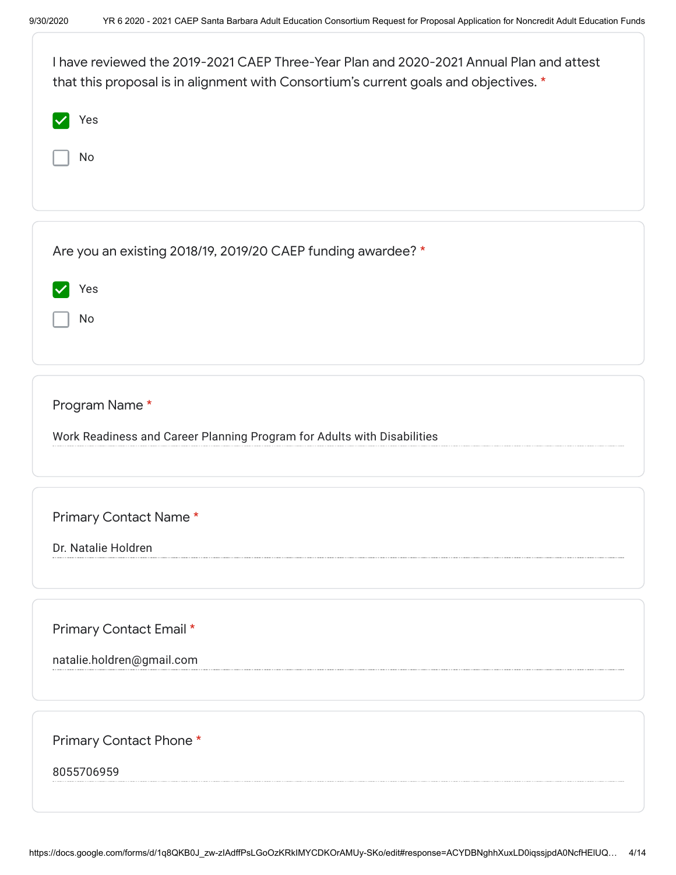| I have reviewed the 2019-2021 CAEP Three-Year Plan and 2020-2021 Annual Plan and attest<br>that this proposal is in alignment with Consortium's current goals and objectives. * |  |  |  |
|---------------------------------------------------------------------------------------------------------------------------------------------------------------------------------|--|--|--|
| Yes                                                                                                                                                                             |  |  |  |
| No                                                                                                                                                                              |  |  |  |
|                                                                                                                                                                                 |  |  |  |
|                                                                                                                                                                                 |  |  |  |
| Are you an existing 2018/19, 2019/20 CAEP funding awardee? *                                                                                                                    |  |  |  |
| Yes                                                                                                                                                                             |  |  |  |
| No                                                                                                                                                                              |  |  |  |
|                                                                                                                                                                                 |  |  |  |
| Program Name*                                                                                                                                                                   |  |  |  |
| Work Readiness and Career Planning Program for Adults with Disabilities                                                                                                         |  |  |  |
|                                                                                                                                                                                 |  |  |  |
|                                                                                                                                                                                 |  |  |  |
| Primary Contact Name*                                                                                                                                                           |  |  |  |
| Dr. Natalie Holdren                                                                                                                                                             |  |  |  |
|                                                                                                                                                                                 |  |  |  |
| Primary Contact Email *                                                                                                                                                         |  |  |  |
| natalie.holdren@gmail.com                                                                                                                                                       |  |  |  |
|                                                                                                                                                                                 |  |  |  |
| Primary Contact Phone*                                                                                                                                                          |  |  |  |
| 8055706959                                                                                                                                                                      |  |  |  |
|                                                                                                                                                                                 |  |  |  |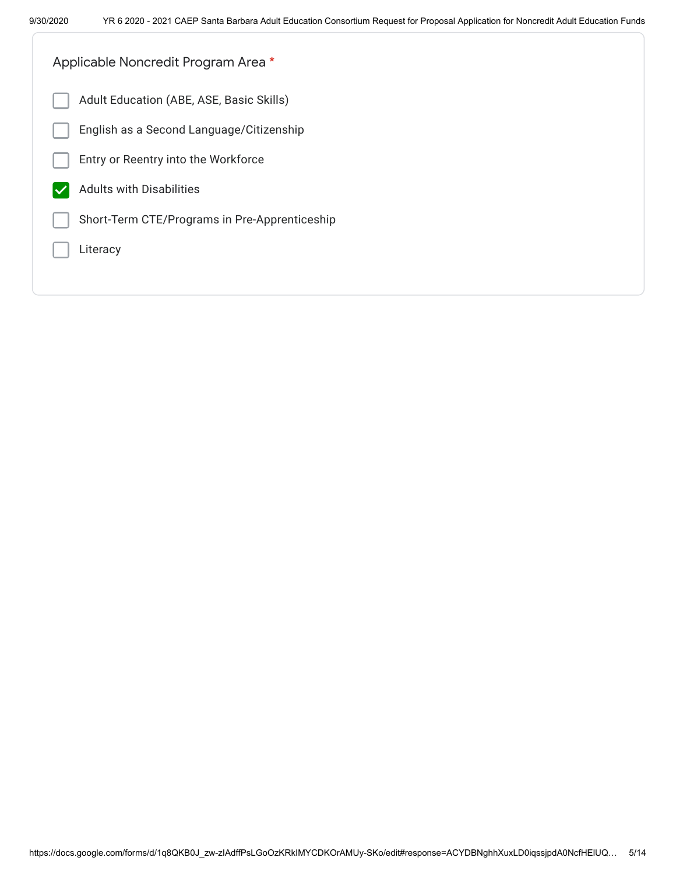| Applicable Noncredit Program Area *           |
|-----------------------------------------------|
| Adult Education (ABE, ASE, Basic Skills)      |
| English as a Second Language/Citizenship      |
| Entry or Reentry into the Workforce           |
| <b>Adults with Disabilities</b>               |
| Short-Term CTE/Programs in Pre-Apprenticeship |
| Literacy                                      |
|                                               |
|                                               |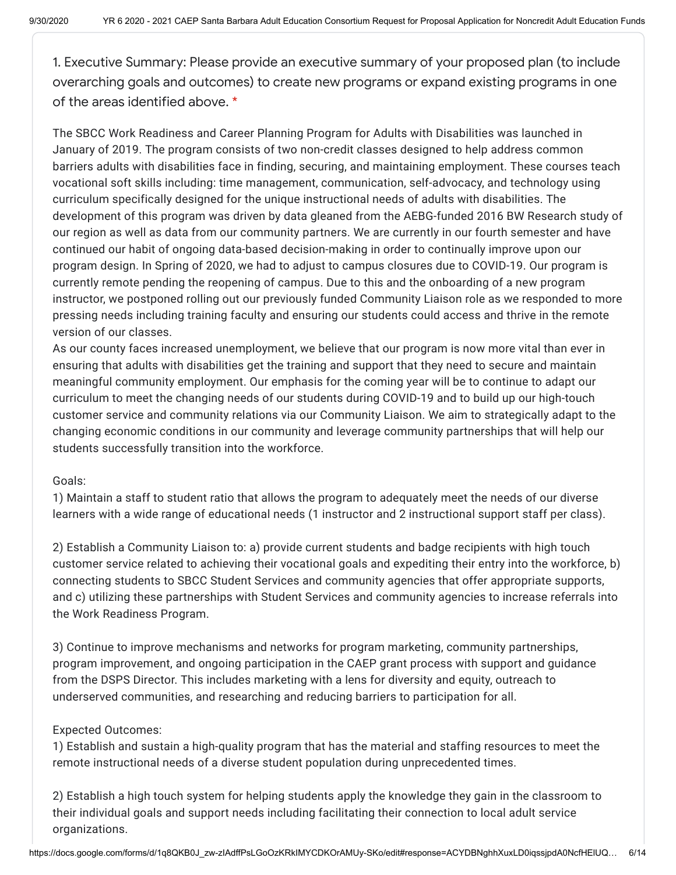1. Executive Summary: Please provide an executive summary of your proposed plan (to include overarching goals and outcomes) to create new programs or expand existing programs in one of the areas identified above. \*

The SBCC Work Readiness and Career Planning Program for Adults with Disabilities was launched in January of 2019. The program consists of two non-credit classes designed to help address common barriers adults with disabilities face in finding, securing, and maintaining employment. These courses teach vocational soft skills including: time management, communication, self-advocacy, and technology using curriculum specifically designed for the unique instructional needs of adults with disabilities. The development of this program was driven by data gleaned from the AEBG-funded 2016 BW Research study of our region as well as data from our community partners. We are currently in our fourth semester and have continued our habit of ongoing data-based decision-making in order to continually improve upon our program design. In Spring of 2020, we had to adjust to campus closures due to COVID-19. Our program is currently remote pending the reopening of campus. Due to this and the onboarding of a new program instructor, we postponed rolling out our previously funded Community Liaison role as we responded to more pressing needs including training faculty and ensuring our students could access and thrive in the remote version of our classes.

As our county faces increased unemployment, we believe that our program is now more vital than ever in ensuring that adults with disabilities get the training and support that they need to secure and maintain meaningful community employment. Our emphasis for the coming year will be to continue to adapt our curriculum to meet the changing needs of our students during COVID-19 and to build up our high-touch customer service and community relations via our Community Liaison. We aim to strategically adapt to the changing economic conditions in our community and leverage community partnerships that will help our students successfully transition into the workforce.

## Goals:

1) Maintain a staff to student ratio that allows the program to adequately meet the needs of our diverse learners with a wide range of educational needs (1 instructor and 2 instructional support staff per class).

2) Establish a Community Liaison to: a) provide current students and badge recipients with high touch customer service related to achieving their vocational goals and expediting their entry into the workforce, b) connecting students to SBCC Student Services and community agencies that offer appropriate supports, and c) utilizing these partnerships with Student Services and community agencies to increase referrals into the Work Readiness Program.

3) Continue to improve mechanisms and networks for program marketing, community partnerships, program improvement, and ongoing participation in the CAEP grant process with support and guidance from the DSPS Director. This includes marketing with a lens for diversity and equity, outreach to underserved communities, and researching and reducing barriers to participation for all.

## Expected Outcomes:

1) Establish and sustain a high-quality program that has the material and staffing resources to meet the remote instructional needs of a diverse student population during unprecedented times.

2) Establish a high touch system for helping students apply the knowledge they gain in the classroom to their individual goals and support needs including facilitating their connection to local adult service organizations.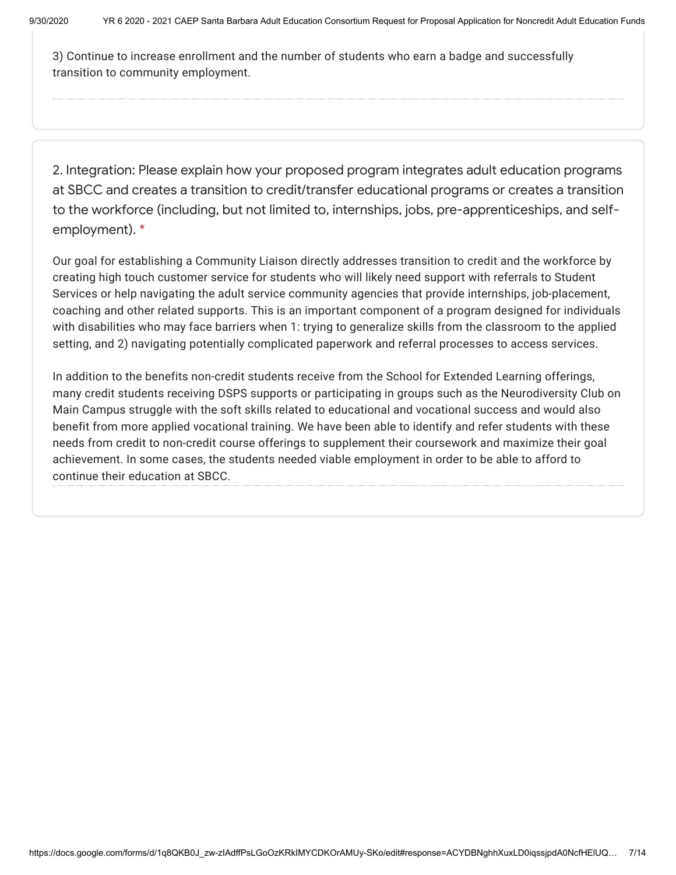3) Continue to increase enrollment and the number of students who earn a badge and successfully transition to community employment.

2. Integration: Please explain how your proposed program integrates adult education programs at SBCC and creates a transition to credit/transfer educational programs or creates a transition to the workforce (including, but not limited to, internships, jobs, pre-apprenticeships, and selfemployment). \*

Our goal for establishing a Community Liaison directly addresses transition to credit and the workforce by creating high touch customer service for students who will likely need support with referrals to Student Services or help navigating the adult service community agencies that provide internships, job-placement, coaching and other related supports. This is an important component of a program designed for individuals with disabilities who may face barriers when 1: trying to generalize skills from the classroom to the applied setting, and 2) navigating potentially complicated paperwork and referral processes to access services.

In addition to the benefits non-credit students receive from the School for Extended Learning offerings, many credit students receiving DSPS supports or participating in groups such as the Neurodiversity Club on Main Campus struggle with the soft skills related to educational and vocational success and would also benefit from more applied vocational training. We have been able to identify and refer students with these needs from credit to non-credit course offerings to supplement their coursework and maximize their goal achievement. In some cases, the students needed viable employment in order to be able to afford to continue their education at SBCC.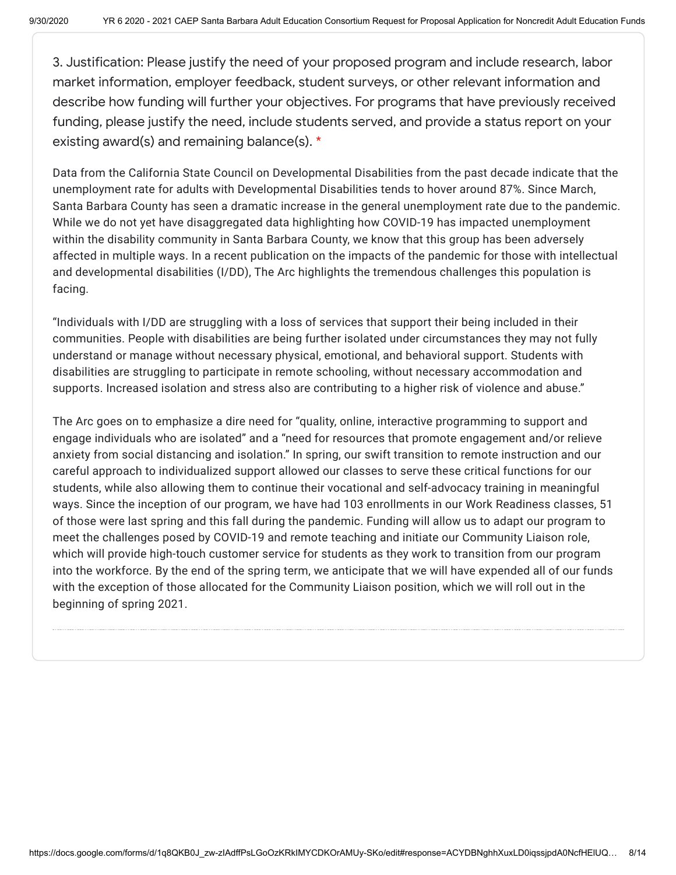3. Justification: Please justify the need of your proposed program and include research, labor market information, employer feedback, student surveys, or other relevant information and describe how funding will further your objectives. For programs that have previously received funding, please justify the need, include students served, and provide a status report on your existing award(s) and remaining balance(s). \*

Data from the California State Council on Developmental Disabilities from the past decade indicate that the unemployment rate for adults with Developmental Disabilities tends to hover around 87%. Since March, Santa Barbara County has seen a dramatic increase in the general unemployment rate due to the pandemic. While we do not yet have disaggregated data highlighting how COVID-19 has impacted unemployment within the disability community in Santa Barbara County, we know that this group has been adversely affected in multiple ways. In a recent publication on the impacts of the pandemic for those with intellectual and developmental disabilities (I/DD), The Arc highlights the tremendous challenges this population is facing.

"Individuals with I/DD are struggling with a loss of services that support their being included in their communities. People with disabilities are being further isolated under circumstances they may not fully understand or manage without necessary physical, emotional, and behavioral support. Students with disabilities are struggling to participate in remote schooling, without necessary accommodation and supports. Increased isolation and stress also are contributing to a higher risk of violence and abuse."

The Arc goes on to emphasize a dire need for "quality, online, interactive programming to support and engage individuals who are isolated" and a "need for resources that promote engagement and/or relieve anxiety from social distancing and isolation." In spring, our swift transition to remote instruction and our careful approach to individualized support allowed our classes to serve these critical functions for our students, while also allowing them to continue their vocational and self-advocacy training in meaningful ways. Since the inception of our program, we have had 103 enrollments in our Work Readiness classes, 51 of those were last spring and this fall during the pandemic. Funding will allow us to adapt our program to meet the challenges posed by COVID-19 and remote teaching and initiate our Community Liaison role, which will provide high-touch customer service for students as they work to transition from our program into the workforce. By the end of the spring term, we anticipate that we will have expended all of our funds with the exception of those allocated for the Community Liaison position, which we will roll out in the beginning of spring 2021.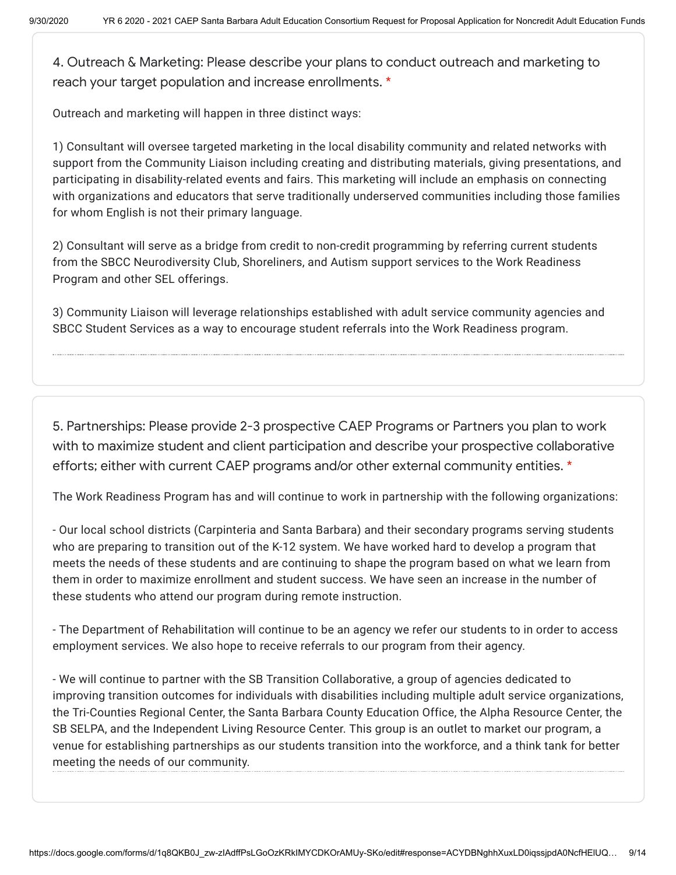4. Outreach & Marketing: Please describe your plans to conduct outreach and marketing to reach your target population and increase enrollments. \*

Outreach and marketing will happen in three distinct ways:

1) Consultant will oversee targeted marketing in the local disability community and related networks with support from the Community Liaison including creating and distributing materials, giving presentations, and participating in disability-related events and fairs. This marketing will include an emphasis on connecting with organizations and educators that serve traditionally underserved communities including those families for whom English is not their primary language.

2) Consultant will serve as a bridge from credit to non-credit programming by referring current students from the SBCC Neurodiversity Club, Shoreliners, and Autism support services to the Work Readiness Program and other SEL offerings.

3) Community Liaison will leverage relationships established with adult service community agencies and SBCC Student Services as a way to encourage student referrals into the Work Readiness program.

5. Partnerships: Please provide 2-3 prospective CAEP Programs or Partners you plan to work with to maximize student and client participation and describe your prospective collaborative efforts; either with current CAEP programs and/or other external community entities. \*

The Work Readiness Program has and will continue to work in partnership with the following organizations:

- Our local school districts (Carpinteria and Santa Barbara) and their secondary programs serving students who are preparing to transition out of the K-12 system. We have worked hard to develop a program that meets the needs of these students and are continuing to shape the program based on what we learn from them in order to maximize enrollment and student success. We have seen an increase in the number of these students who attend our program during remote instruction.

- The Department of Rehabilitation will continue to be an agency we refer our students to in order to access employment services. We also hope to receive referrals to our program from their agency.

- We will continue to partner with the SB Transition Collaborative, a group of agencies dedicated to improving transition outcomes for individuals with disabilities including multiple adult service organizations, the Tri-Counties Regional Center, the Santa Barbara County Education Office, the Alpha Resource Center, the SB SELPA, and the Independent Living Resource Center. This group is an outlet to market our program, a venue for establishing partnerships as our students transition into the workforce, and a think tank for better meeting the needs of our community.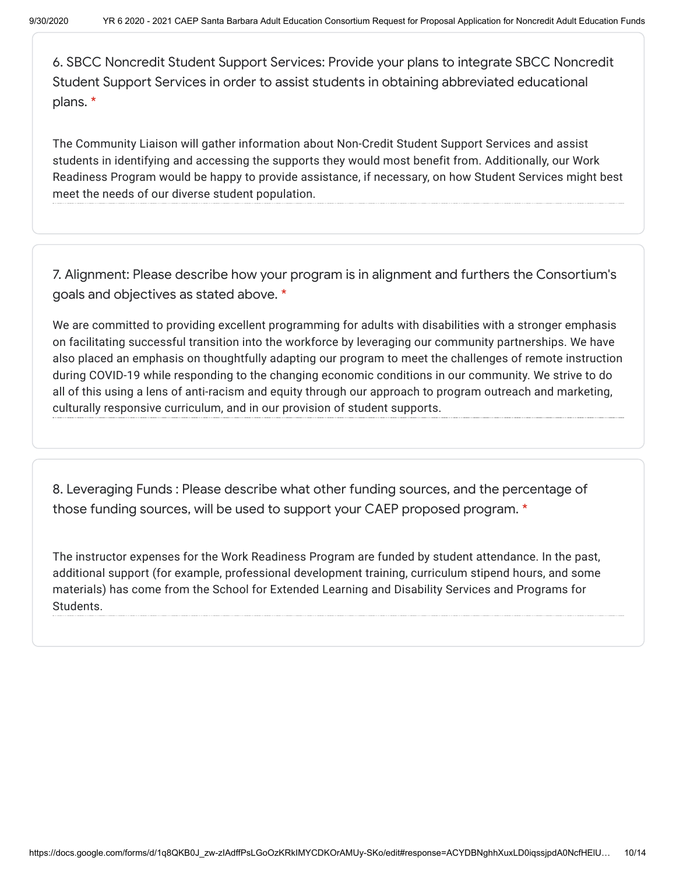6. SBCC Noncredit Student Support Services: Provide your plans to integrate SBCC Noncredit Student Support Services in order to assist students in obtaining abbreviated educational plans. \*

The Community Liaison will gather information about Non-Credit Student Support Services and assist students in identifying and accessing the supports they would most benefit from. Additionally, our Work Readiness Program would be happy to provide assistance, if necessary, on how Student Services might best meet the needs of our diverse student population.

7. Alignment: Please describe how your program is in alignment and furthers the Consortium's goals and objectives as stated above. \*

We are committed to providing excellent programming for adults with disabilities with a stronger emphasis on facilitating successful transition into the workforce by leveraging our community partnerships. We have also placed an emphasis on thoughtfully adapting our program to meet the challenges of remote instruction during COVID-19 while responding to the changing economic conditions in our community. We strive to do all of this using a lens of anti-racism and equity through our approach to program outreach and marketing, culturally responsive curriculum, and in our provision of student supports.

8. Leveraging Funds : Please describe what other funding sources, and the percentage of those funding sources, will be used to support your CAEP proposed program. \*

The instructor expenses for the Work Readiness Program are funded by student attendance. In the past, additional support (for example, professional development training, curriculum stipend hours, and some materials) has come from the School for Extended Learning and Disability Services and Programs for Students.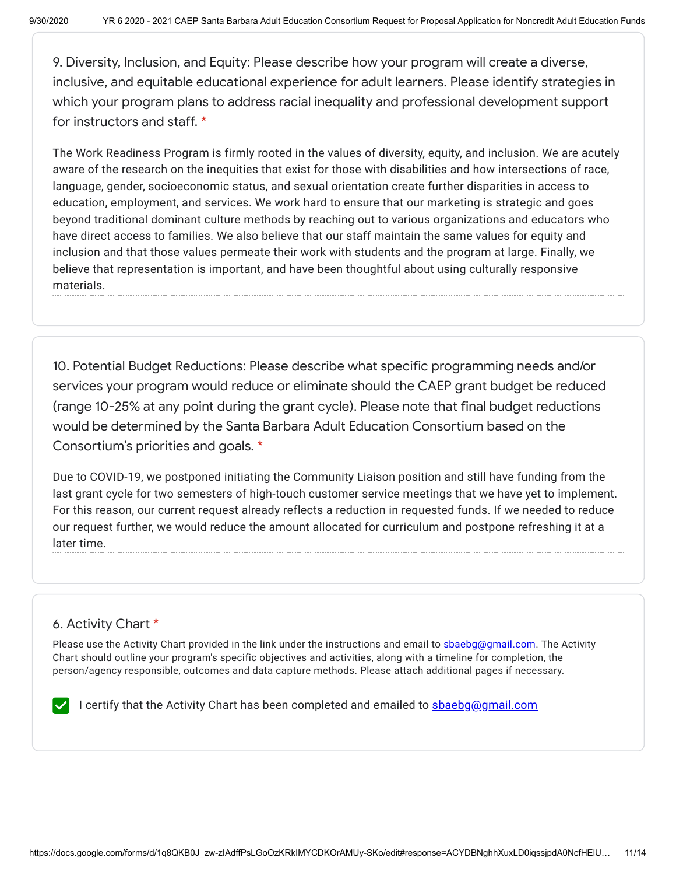9. Diversity, Inclusion, and Equity: Please describe how your program will create a diverse, inclusive, and equitable educational experience for adult learners. Please identify strategies in which your program plans to address racial inequality and professional development support for instructors and staff. \*

The Work Readiness Program is firmly rooted in the values of diversity, equity, and inclusion. We are acutely aware of the research on the inequities that exist for those with disabilities and how intersections of race, language, gender, socioeconomic status, and sexual orientation create further disparities in access to education, employment, and services. We work hard to ensure that our marketing is strategic and goes beyond traditional dominant culture methods by reaching out to various organizations and educators who have direct access to families. We also believe that our staff maintain the same values for equity and inclusion and that those values permeate their work with students and the program at large. Finally, we believe that representation is important, and have been thoughtful about using culturally responsive materials.

10. Potential Budget Reductions: Please describe what specific programming needs and/or services your program would reduce or eliminate should the CAEP grant budget be reduced (range 10-25% at any point during the grant cycle). Please note that final budget reductions would be determined by the Santa Barbara Adult Education Consortium based on the Consortium's priorities and goals. \*

Due to COVID-19, we postponed initiating the Community Liaison position and still have funding from the last grant cycle for two semesters of high-touch customer service meetings that we have yet to implement. For this reason, our current request already reflects a reduction in requested funds. If we needed to reduce our request further, we would reduce the amount allocated for curriculum and postpone refreshing it at a later time.

# 6. Activity Chart \*

Please use the Activity Chart provided in the link under the instructions and email to [sbaebg@gmail.com.](mailto:sbaebg@gmail.com) The Activity Chart should outline your program's specific objectives and activities, along with a timeline for completion, the person/agency responsible, outcomes and data capture methods. Please attach additional pages if necessary.

I certify that the Activity Chart has been completed and emailed to **[sbaebg@gmail.com](mailto:sbaebg@gmail.com)**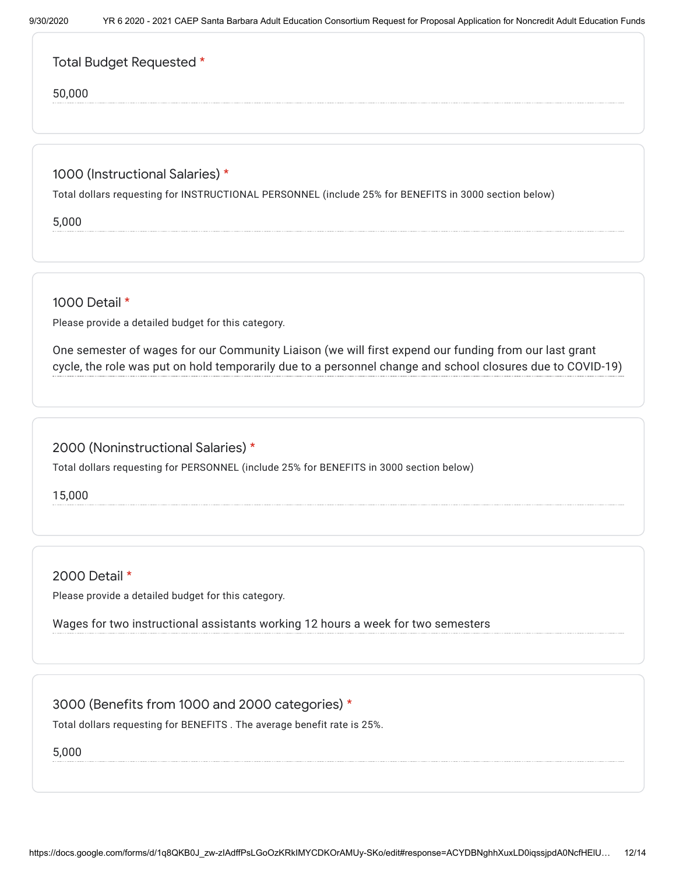|  |  | Total Budget Requested * |
|--|--|--------------------------|
|--|--|--------------------------|

50,000

## 1000 (Instructional Salaries) \*

Total dollars requesting for INSTRUCTIONAL PERSONNEL (include 25% for BENEFITS in 3000 section below)

5,000

1000 Detail \*

Please provide a detailed budget for this category.

One semester of wages for our Community Liaison (we will first expend our funding from our last grant cycle, the role was put on hold temporarily due to a personnel change and school closures due to COVID-19)

## 2000 (Noninstructional Salaries) \*

Total dollars requesting for PERSONNEL (include 25% for BENEFITS in 3000 section below)

15,000

2000 Detail \*

Please provide a detailed budget for this category.

Wages for two instructional assistants working 12 hours a week for two semesters

## 3000 (Benefits from 1000 and 2000 categories) \*

Total dollars requesting for BENEFITS . The average benefit rate is 25%.

5,000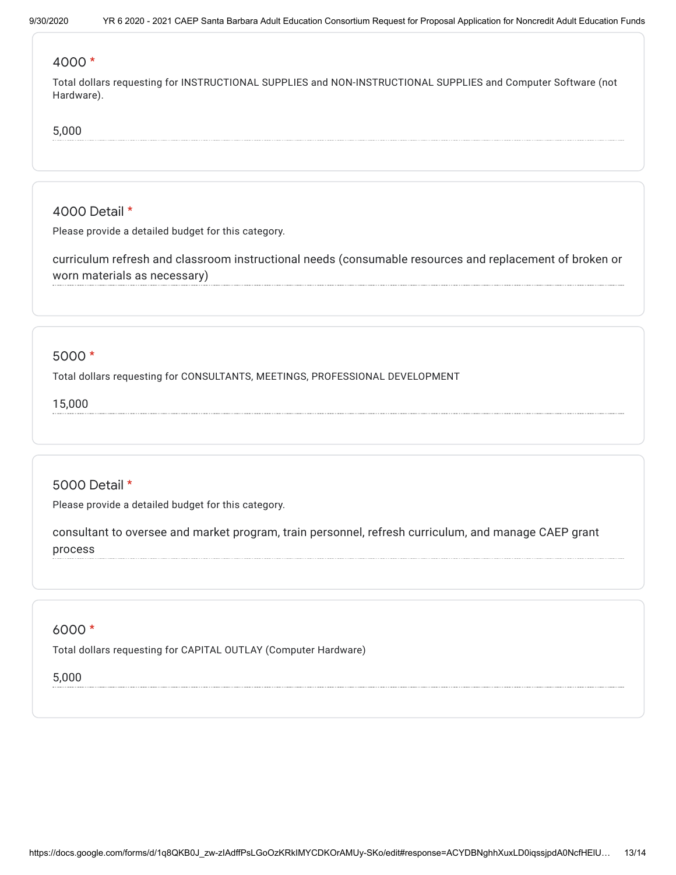### 4000 \*

Total dollars requesting for INSTRUCTIONAL SUPPLIES and NON-INSTRUCTIONAL SUPPLIES and Computer Software (not Hardware).

#### 5,000

## 4000 Detail \*

Please provide a detailed budget for this category.

curriculum refresh and classroom instructional needs (consumable resources and replacement of broken or worn materials as necessary)

## 5000 \*

Total dollars requesting for CONSULTANTS, MEETINGS, PROFESSIONAL DEVELOPMENT

15,000

# 5000 Detail \*

Please provide a detailed budget for this category.

consultant to oversee and market program, train personnel, refresh curriculum, and manage CAEP grant process

## 6000 \*

Total dollars requesting for CAPITAL OUTLAY (Computer Hardware)

### 5,000